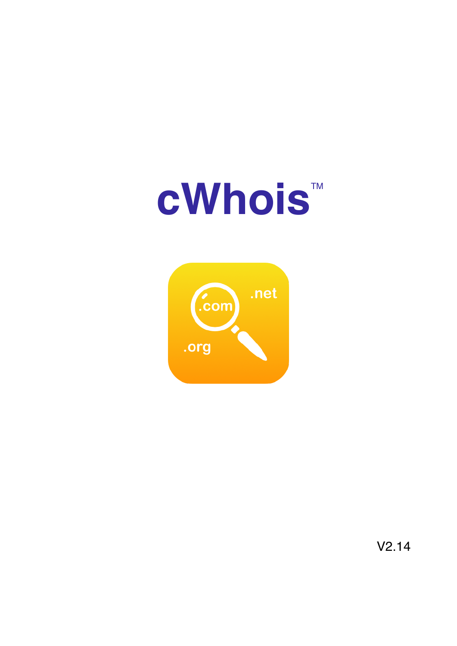# **cWhois™**



V2.14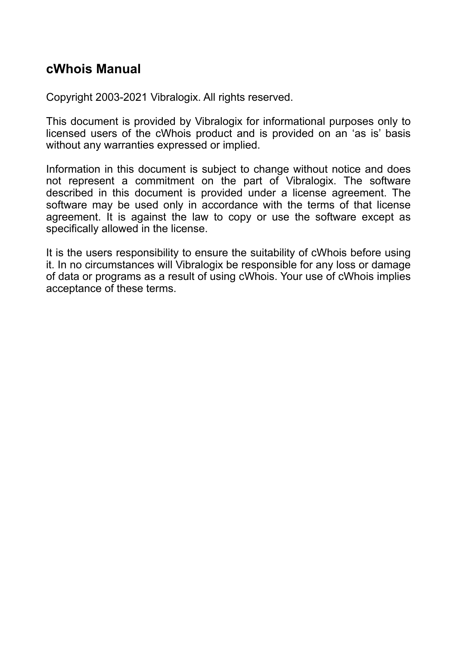# **cWhois Manual**

Copyright 2003-2021 Vibralogix. All rights reserved.

This document is provided by Vibralogix for informational purposes only to licensed users of the cWhois product and is provided on an 'as is' basis without any warranties expressed or implied.

Information in this document is subject to change without notice and does not represent a commitment on the part of Vibralogix. The software described in this document is provided under a license agreement. The software may be used only in accordance with the terms of that license agreement. It is against the law to copy or use the software except as specifically allowed in the license.

It is the users responsibility to ensure the suitability of cWhois before using it. In no circumstances will Vibralogix be responsible for any loss or damage of data or programs as a result of using cWhois. Your use of cWhois implies acceptance of these terms.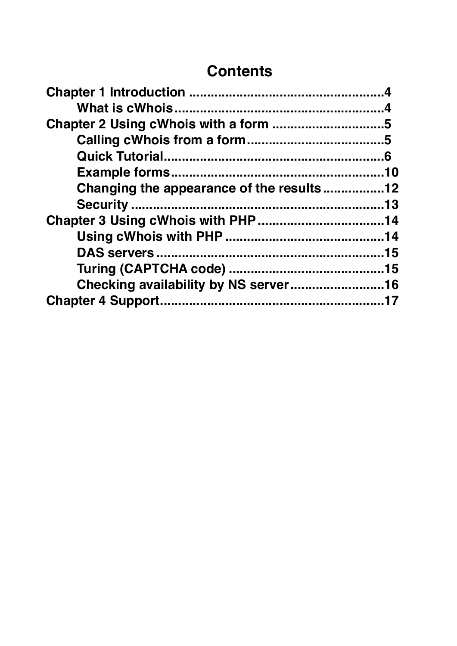# **Contents**

| Changing the appearance of the results12 |
|------------------------------------------|
|                                          |
|                                          |
|                                          |
|                                          |
|                                          |
|                                          |
|                                          |
|                                          |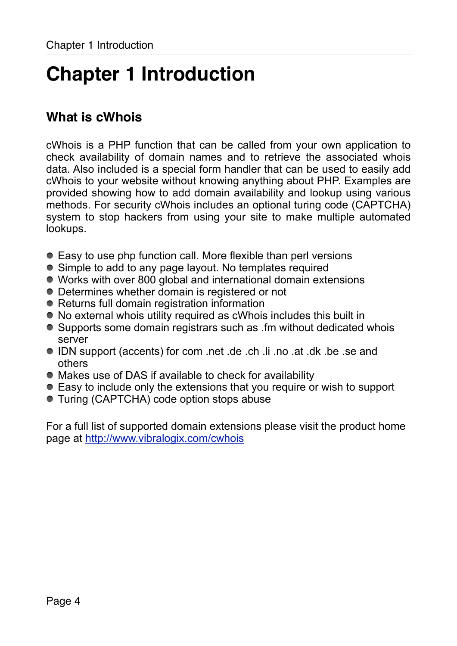# <span id="page-3-0"></span>**Chapter 1 Introduction**

# <span id="page-3-1"></span>**What is cWhois**

cWhois is a PHP function that can be called from your own application to check availability of domain names and to retrieve the associated whois data. Also included is a special form handler that can be used to easily add cWhois to your website without knowing anything about PHP. Examples are provided showing how to add domain availability and lookup using various methods. For security cWhois includes an optional turing code (CAPTCHA) system to stop hackers from using your site to make multiple automated lookups.

- Easy to use php function call. More flexible than perl versions
- Simple to add to any page layout. No templates required
- Works with over 800 global and international domain extensions
- Determines whether domain is registered or not
- Returns full domain registration information
- No external whois utility required as cWhois includes this built in
- Supports some domain registrars such as .fm without dedicated whois server
- IDN support (accents) for com .net .de .ch .li .no .at .dk .be .se and others
- Makes use of DAS if available to check for availability
- Easy to include only the extensions that you require or wish to support
- Turing (CAPTCHA) code option stops abuse

For a full list of supported domain extensions please visit the product home page at [http://www.vibralogix.com/cwhois](http://www.apple.com/)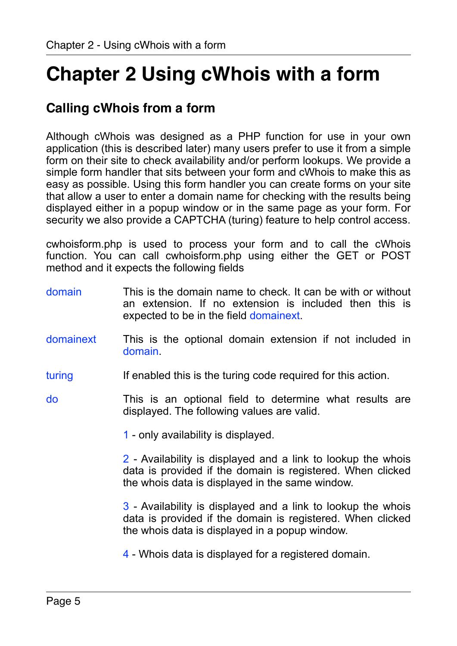# <span id="page-4-0"></span>**Chapter 2 Using cWhois with a form**

# <span id="page-4-1"></span>**Calling cWhois from a form**

Although cWhois was designed as a PHP function for use in your own application (this is described later) many users prefer to use it from a simple form on their site to check availability and/or perform lookups. We provide a simple form handler that sits between your form and cWhois to make this as easy as possible. Using this form handler you can create forms on your site that allow a user to enter a domain name for checking with the results being displayed either in a popup window or in the same page as your form. For security we also provide a CAPTCHA (turing) feature to help control access.

cwhoisform.php is used to process your form and to call the cWhois function. You can call cwhoisform.php using either the GET or POST method and it expects the following fields

- domain This is the domain name to check. It can be with or without an extension. If no extension is included then this is expected to be in the field domainext.
- domainext This is the optional domain extension if not included in domain.
- turing If enabled this is the turing code required for this action.
- do This is an optional field to determine what results are displayed. The following values are valid.

1 - only availability is displayed.

2 - Availability is displayed and a link to lookup the whois data is provided if the domain is registered. When clicked the whois data is displayed in the same window.

3 - Availability is displayed and a link to lookup the whois data is provided if the domain is registered. When clicked the whois data is displayed in a popup window.

4 - Whois data is displayed for a registered domain.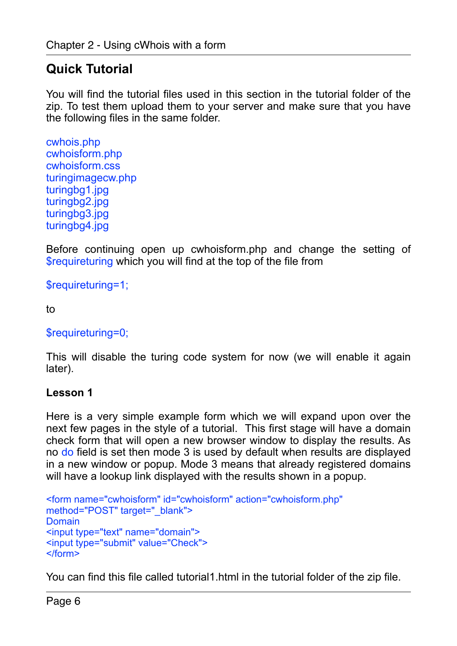# <span id="page-5-0"></span>**Quick Tutorial**

You will find the tutorial files used in this section in the tutorial folder of the zip. To test them upload them to your server and make sure that you have the following files in the same folder.

```
cwhois.php 
cwhoisform.php 
cwhoisform.css 
turingimagecw.php 
turingbg1.jpg 
turingbg2.jpg 
turingbg3.jpg 
turingbg4.jpg
```
Before continuing open up cwhoisform.php and change the setting of \$requireturing which you will find at the top of the file from

\$requireturing=1;

to

#### \$requireturing=0;

This will disable the turing code system for now (we will enable it again later).

#### **Lesson 1**

Here is a very simple example form which we will expand upon over the next few pages in the style of a tutorial. This first stage will have a domain check form that will open a new browser window to display the results. As no do field is set then mode 3 is used by default when results are displayed in a new window or popup. Mode 3 means that already registered domains will have a lookup link displayed with the results shown in a popup.

```
<form name="cwhoisform" id="cwhoisform" action="cwhoisform.php" 
method="POST" target="_blank">
Domain
<input type="text" name="domain"> 
<input type="submit" value="Check"> 
\le/form>
```
You can find this file called tutorial1.html in the tutorial folder of the zip file.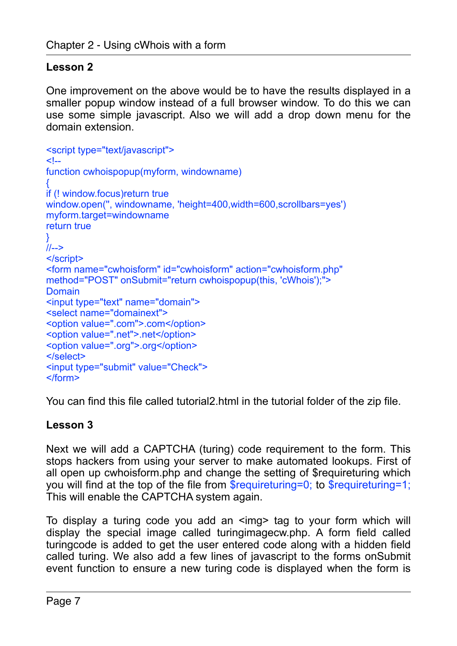### **Lesson 2**

One improvement on the above would be to have the results displayed in a smaller popup window instead of a full browser window. To do this we can use some simple javascript. Also we will add a drop down menu for the domain extension.

```
<script type="text/javascript"> 
\leq --
function cwhoispopup(myform, windowname) 
{ 
if (! window.focus)return true 
window.open('', windowname, 'height=400,width=600,scrollbars=yes') 
myform.target=windowname 
return true 
} 
1/1 - 5</script> 
<form name="cwhoisform" id="cwhoisform" action="cwhoisform.php" 
method="POST" onSubmit="return cwhoispopup(this, 'cWhois');"> 
Domain 
<input type="text" name="domain"> 
<select name="domainext"> 
<option value=".com">.com</option> 
<option value=".net">.net</option> 
<option value=".org">.org</option>
</select>
<input type="submit" value="Check"> 
</form>
```
You can find this file called tutorial2.html in the tutorial folder of the zip file.

#### **Lesson 3**

Next we will add a CAPTCHA (turing) code requirement to the form. This stops hackers from using your server to make automated lookups. First of all open up cwhoisform.php and change the setting of \$requireturing which you will find at the top of the file from \$requireturing=0; to \$requireturing=1; This will enable the CAPTCHA system again.

To display a turing code you add an <img> tag to your form which will display the special image called turingimagecw.php. A form field called turingcode is added to get the user entered code along with a hidden field called turing. We also add a few lines of javascript to the forms onSubmit event function to ensure a new turing code is displayed when the form is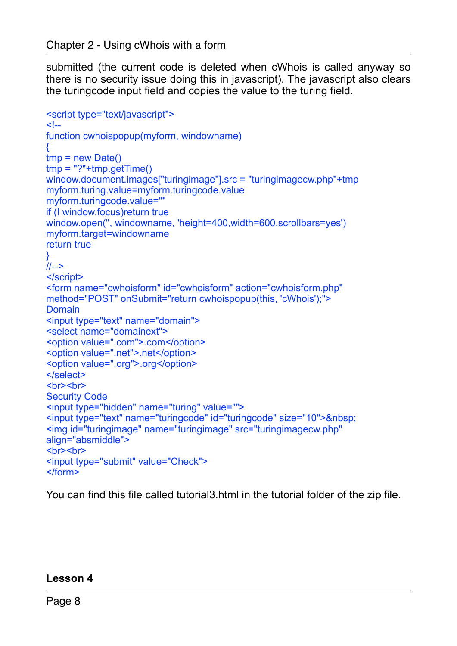submitted (the current code is deleted when cWhois is called anyway so there is no security issue doing this in javascript). The javascript also clears the turingcode input field and copies the value to the turing field.

```
<script type="text/javascript"> 
\leq --
function cwhoispopup(myform, windowname) 
{ 
tmp = new Date()\text{tmp} = "?" + \text{tmp}.\text{getTime}()window.document.images["turingimage"].src = "turingimagecw.php"+tmp 
myform.turing.value=myform.turingcode.value 
myform.turingcode.value="" 
if (! window.focus)return true 
window.open('', windowname, 'height=400,width=600,scrollbars=yes') 
myform.target=windowname 
return true 
} 
//--> 
</script> 
<form name="cwhoisform" id="cwhoisform" action="cwhoisform.php" 
method="POST" onSubmit="return cwhoispopup(this, 'cWhois');"> 
Domain
<input type="text" name="domain"> 
<select name="domainext"> 
<option value=".com">.com</option> 
<option value=".net">.net</option> 
<option value=".org">.org</option> 
</select> 
<hr><hr>
Security Code 
<input type="hidden" name="turing" value=""> 
<input type="text" name="turingcode" id="turingcode" size="10">&nbsp; 
<img id="turingimage" name="turingimage" src="turingimagecw.php" 
align="absmiddle"> 
<br>>
<br>
<br>
<br>
<br/>
<br/>
<br/>
<br/>
<br/>
<br/>
<br/>
<br/>
<br/>
<br/>
<br/>
<br/>
<br/>
<br/>
<br/>
<br/>
<br/>
<br/>
<br/>
<br/>
<br/>
<br/>
<br/>
<br/>
<br/>
<br/>
<br/>
<br/>
<br/>
<br/>
<br/>
<br/>
<br/>
<br
<input type="submit" value="Check"> 
</form>
```
You can find this file called tutorial3.html in the tutorial folder of the zip file.

#### **Lesson 4**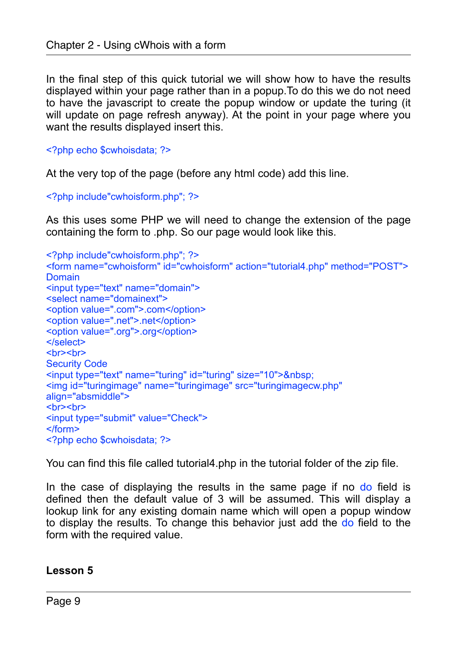In the final step of this quick tutorial we will show how to have the results displayed within your page rather than in a popup.To do this we do not need to have the javascript to create the popup window or update the turing (it will update on page refresh anyway). At the point in your page where you want the results displayed insert this.

<?php echo \$cwhoisdata; ?>

At the very top of the page (before any html code) add this line.

<?php include"cwhoisform.php"; ?>

As this uses some PHP we will need to change the extension of the page containing the form to .php. So our page would look like this.

```
<?php include"cwhoisform.php"; ?> 
<form name="cwhoisform" id="cwhoisform" action="tutorial4.php" method="POST"> 
Domain 
<input type="text" name="domain"> 
<select name="domainext"> 
<option value=".com">.com</option> 
<option value=".net">.net</option> 
<option value=".org">.org</option> 
</select> 
<hr><hr>
Security Code 
<input type="text" name="turing" id="turing" size="10">&nbsp; 
<img id="turingimage" name="turingimage" src="turingimagecw.php" 
align="absmiddle"> 
<hr><hr>
<input type="submit" value="Check"> 
</form> 
<?php echo $cwhoisdata; ?>
```
You can find this file called tutorial4.php in the tutorial folder of the zip file.

In the case of displaying the results in the same page if no do field is defined then the default value of 3 will be assumed. This will display a lookup link for any existing domain name which will open a popup window to display the results. To change this behavior just add the do field to the form with the required value.

#### **Lesson 5**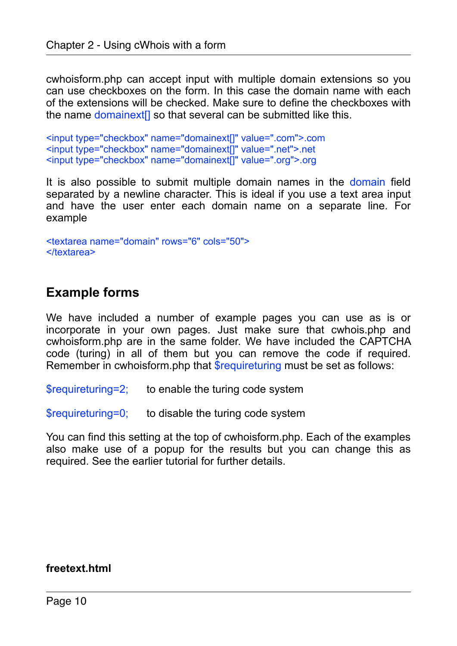cwhoisform.php can accept input with multiple domain extensions so you can use checkboxes on the form. In this case the domain name with each of the extensions will be checked. Make sure to define the checkboxes with the name domainext<sup>[]</sup> so that several can be submitted like this.

<input type="checkbox" name="domainext[]" value=".com">.com <input type="checkbox" name="domainext[]" value=".net">.net <input type="checkbox" name="domainext[]" value=".org">.org

It is also possible to submit multiple domain names in the domain field separated by a newline character. This is ideal if you use a text area input and have the user enter each domain name on a separate line. For example

```
<textarea name="domain" rows="6" cols="50"> 
</textarea>
```
## <span id="page-9-0"></span>**Example forms**

We have included a number of example pages you can use as is or incorporate in your own pages. Just make sure that cwhois.php and cwhoisform.php are in the same folder. We have included the CAPTCHA code (turing) in all of them but you can remove the code if required. Remember in cwhoisform.php that **\$requireturing must be set as follows:** 

\$requireturing=2; to enable the turing code system

\$requireturing=0; to disable the turing code system

You can find this setting at the top of cwhoisform.php. Each of the examples also make use of a popup for the results but you can change this as required. See the earlier tutorial for further details.

#### **freetext.html**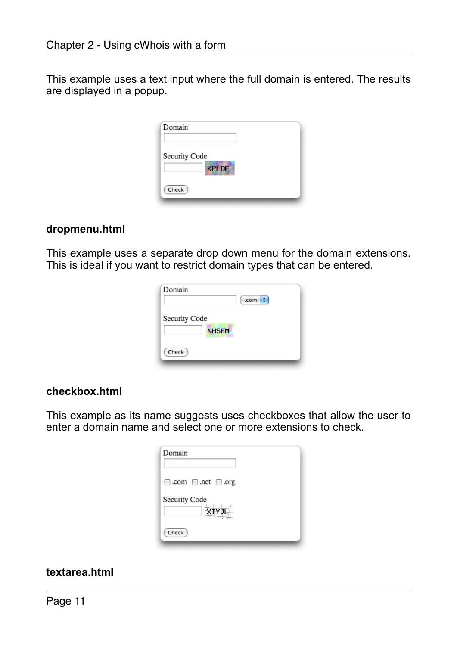This example uses a text input where the full domain is entered. The results are displayed in a popup.

| Domain               |  |
|----------------------|--|
| <b>Security Code</b> |  |
| <b>KPLDF</b>         |  |
| Check                |  |

#### **dropmenu.html**

This example uses a separate drop down menu for the domain extensions. This is ideal if you want to restrict domain types that can be entered.

|                      |              | .com |  |
|----------------------|--------------|------|--|
| <b>Security Code</b> |              |      |  |
|                      | <b>NHSFM</b> |      |  |
| Check                |              |      |  |

#### **checkbox.html**

This example as its name suggests uses checkboxes that allow the user to enter a domain name and select one or more extensions to check.

| Domain                              |  |
|-------------------------------------|--|
| $\Box$ .com $\Box$ .net $\Box$ .org |  |
| <b>Security Code</b><br>XIYJL       |  |
| Check                               |  |

#### **textarea.html**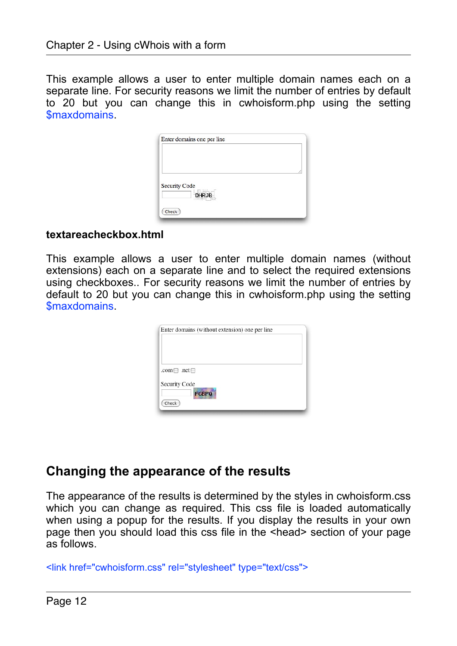This example allows a user to enter multiple domain names each on a separate line. For security reasons we limit the number of entries by default to 20 but you can change this in cwhoisform.php using the setting \$maxdomains.

| Enter domains one per line           |  |
|--------------------------------------|--|
|                                      |  |
|                                      |  |
|                                      |  |
| <b>Security Code</b><br><b>DHRJB</b> |  |
|                                      |  |
| Check                                |  |

#### **textareacheckbox.html**

This example allows a user to enter multiple domain names (without extensions) each on a separate line and to select the required extensions using checkboxes.. For security reasons we limit the number of entries by default to 20 but you can change this in cwhoisform.php using the setting \$maxdomains.

| .com $\Box$ .net $\Box$<br>Security Code | Enter domains (without extension) one per line |  |  |
|------------------------------------------|------------------------------------------------|--|--|
|                                          |                                                |  |  |
|                                          |                                                |  |  |

## <span id="page-11-0"></span>**Changing the appearance of the results**

The appearance of the results is determined by the styles in cwhoisform.css which you can change as required. This css file is loaded automatically when using a popup for the results. If you display the results in your own page then you should load this css file in the <head> section of your page as follows.

```
<link href="cwhoisform.css" rel="stylesheet" type="text/css">
```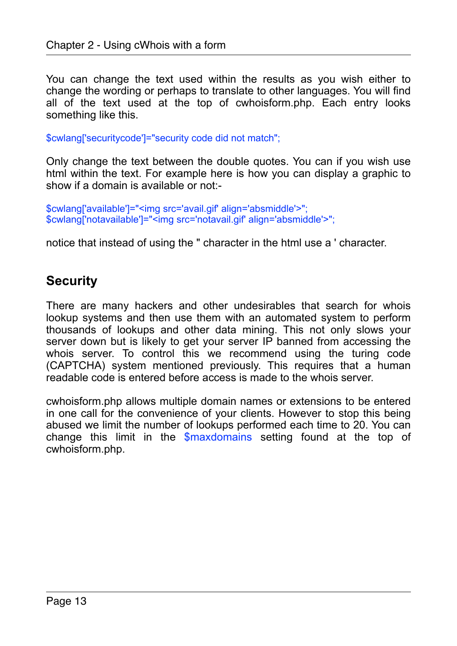You can change the text used within the results as you wish either to change the wording or perhaps to translate to other languages. You will find all of the text used at the top of cwhoisform.php. Each entry looks something like this.

\$cwlang['securitycode']="security code did not match";

Only change the text between the double quotes. You can if you wish use html within the text. For example here is how you can display a graphic to show if a domain is available or not:-

\$cwlang['available']="<img src='avail.gif' align='absmiddle'>"; \$cwlang['notavailable']="<img src='notavail.gif' align='absmiddle'>";

notice that instead of using the " character in the html use a ' character.

# <span id="page-12-0"></span>**Security**

There are many hackers and other undesirables that search for whois lookup systems and then use them with an automated system to perform thousands of lookups and other data mining. This not only slows your server down but is likely to get your server IP banned from accessing the whois server. To control this we recommend using the turing code (CAPTCHA) system mentioned previously. This requires that a human readable code is entered before access is made to the whois server.

cwhoisform.php allows multiple domain names or extensions to be entered in one call for the convenience of your clients. However to stop this being abused we limit the number of lookups performed each time to 20. You can change this limit in the \$maxdomains setting found at the top of cwhoisform.php.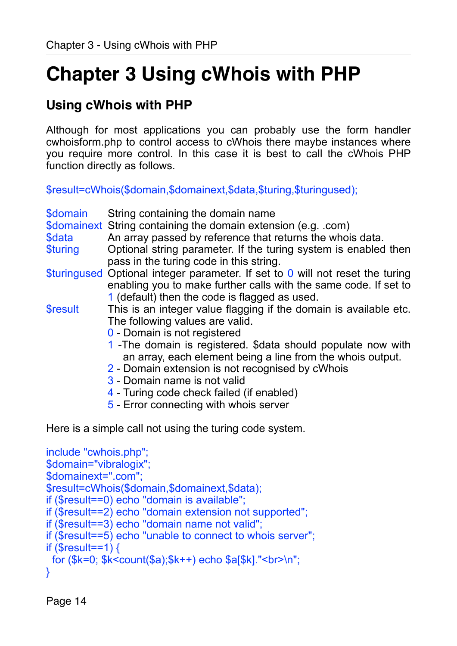# <span id="page-13-0"></span>**Chapter 3 Using cWhois with PHP**

# <span id="page-13-1"></span>**Using cWhois with PHP**

Although for most applications you can probably use the form handler cwhoisform.php to control access to cWhois there maybe instances where you require more control. In this case it is best to call the cWhois PHP function directly as follows.

\$result=cWhois(\$domain,\$domainext,\$data,\$turing,\$turingused);

| \$domain<br>\$data<br>\$turing                                         | String containing the domain name<br>\$domainext String containing the domain extension (e.g. .com)<br>An array passed by reference that returns the whois data.<br>Optional string parameter. If the turing system is enabled then<br>pass in the turing code in this string.                                                                                                                                                                 |
|------------------------------------------------------------------------|------------------------------------------------------------------------------------------------------------------------------------------------------------------------------------------------------------------------------------------------------------------------------------------------------------------------------------------------------------------------------------------------------------------------------------------------|
|                                                                        | \$turingused Optional integer parameter. If set to $0$ will not reset the turing<br>enabling you to make further calls with the same code. If set to<br>1 (default) then the code is flagged as used.                                                                                                                                                                                                                                          |
| <b>\$result</b>                                                        | This is an integer value flagging if the domain is available etc.<br>The following values are valid.<br>0 - Domain is not registered<br>1 - The domain is registered. \$data should populate now with<br>an array, each element being a line from the whois output.<br>2 - Domain extension is not recognised by cWhois<br>3 - Domain name is not valid<br>4 - Turing code check failed (if enabled)<br>5 - Error connecting with whois server |
|                                                                        | Here is a simple call not using the turing code system.                                                                                                                                                                                                                                                                                                                                                                                        |
| include "cwhois.php";<br>\$domain="vibralogix";<br>\$domainext=".com"; | \$result=cWhois(\$domain,\$domainext,\$data);<br>if (\$result==0) echo "domain is available";                                                                                                                                                                                                                                                                                                                                                  |

```
if ($result==2) echo "domain extension not supported";
```
if (\$result==3) echo "domain name not valid";

```
if ($result==5) echo "unable to connect to whois server";
```

```
if ($result==1) \ell
```

```
 for ($k=0; $k<count($a);$k++) echo $a[$k]."<br>\n";
```

```
}
```
Page 14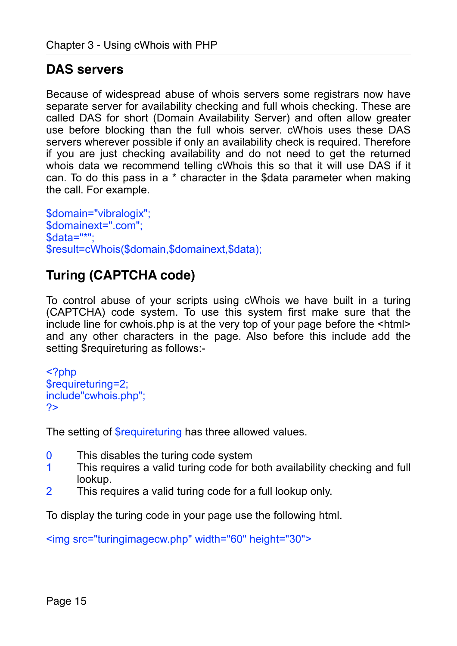# <span id="page-14-0"></span>**DAS servers**

Because of widespread abuse of whois servers some registrars now have separate server for availability checking and full whois checking. These are called DAS for short (Domain Availability Server) and often allow greater use before blocking than the full whois server. cWhois uses these DAS servers wherever possible if only an availability check is required. Therefore if you are just checking availability and do not need to get the returned whois data we recommend telling cWhois this so that it will use DAS if it can. To do this pass in a \* character in the \$data parameter when making the call. For example.

\$domain="vibralogix"; \$domainext=".com"; \$data="\*"; \$result=cWhois(\$domain,\$domainext,\$data);

# <span id="page-14-1"></span>**Turing (CAPTCHA code)**

To control abuse of your scripts using cWhois we have built in a turing (CAPTCHA) code system. To use this system first make sure that the include line for cwhois.php is at the very top of your page before the <html> and any other characters in the page. Also before this include add the setting \$requireturing as follows:-

```
<?php 
$requireturing=2; 
include"cwhois.php"; 
?>
```
The setting of \$requireturing has three allowed values.

- 0 This disables the turing code system
- 1 This requires a valid turing code for both availability checking and full lookup.
- 2 This requires a valid turing code for a full lookup only.

To display the turing code in your page use the following html.

<img src="turingimagecw.php" width="60" height="30">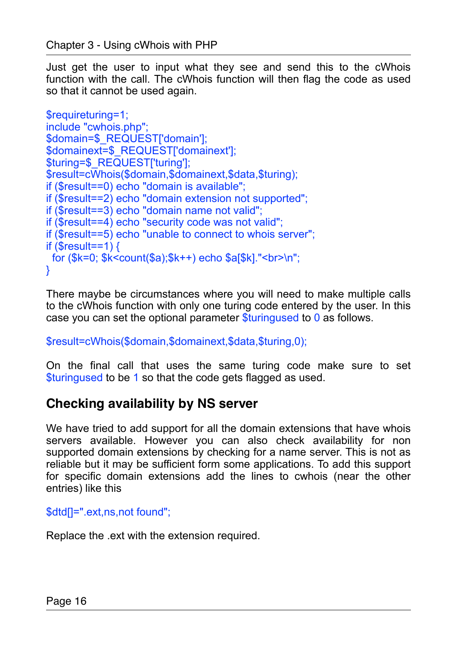Just get the user to input what they see and send this to the cWhois function with the call. The cWhois function will then flag the code as used so that it cannot be used again.

```
$requireturing=1;
include "cwhois.php";
$domain=$ REQUEST['domain'];
$domainext=$_REQUEST['domainext']; 
$turing=$ REQUEST['turing'];
$result=cWhois($domain,$domainext,$data,$turing); 
if ($result==0) echo "domain is available"; 
if ($result==2) echo "domain extension not supported"; 
if ($result==3) echo "domain name not valid"; 
if ($result==4) echo "security code was not valid"; 
if ($result==5) echo "unable to connect to whois server"; 
if ($result==1) {
  for ($k=0; $k<count($a);$k++) echo $a[$k]."<br>\n"; 
}
```
There maybe be circumstances where you will need to make multiple calls to the cWhois function with only one turing code entered by the user. In this case you can set the optional parameter \$turingused to 0 as follows.

\$result=cWhois(\$domain,\$domainext,\$data,\$turing,0);

On the final call that uses the same turing code make sure to set \$turingused to be 1 so that the code gets flagged as used.

## <span id="page-15-0"></span>**Checking availability by NS server**

We have tried to add support for all the domain extensions that have whois servers available. However you can also check availability for non supported domain extensions by checking for a name server. This is not as reliable but it may be sufficient form some applications. To add this support for specific domain extensions add the lines to cwhois (near the other entries) like this

\$dtd[]=".ext,ns,not found";

Replace the .ext with the extension required.